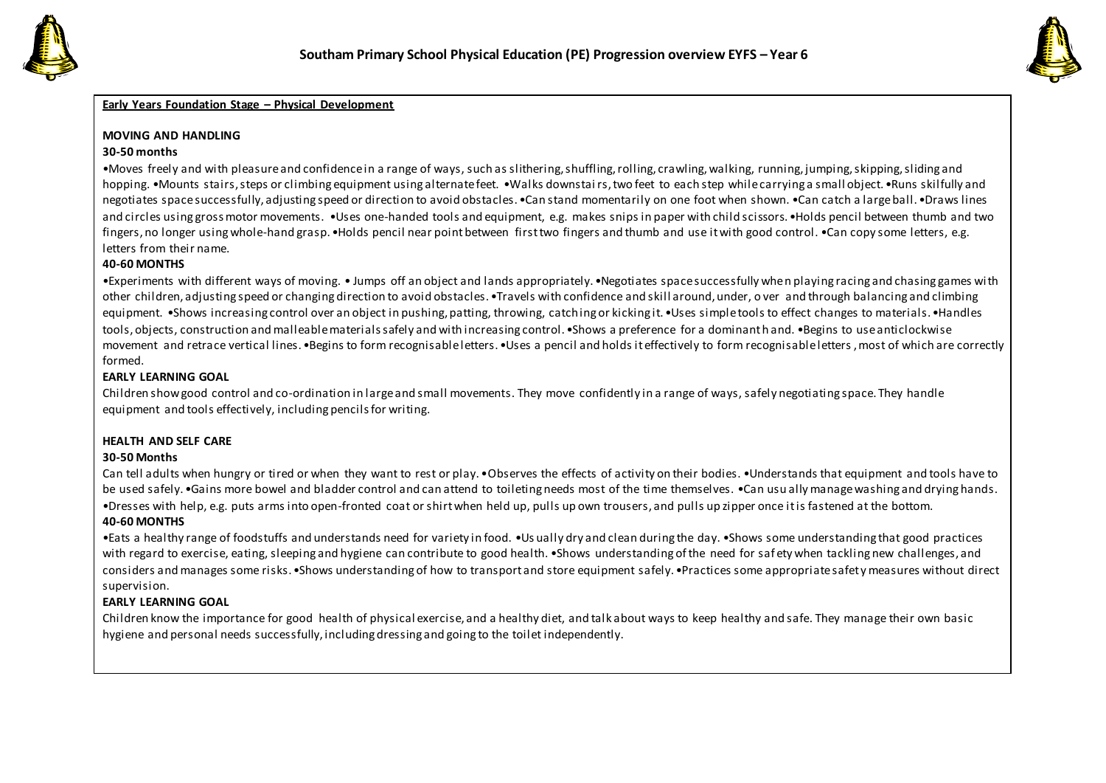



## **Early Years Foundation Stage – Physical Development**

### **MOVING AND HANDLING**

### **30-50 months**

•Moves freely and with pleasure and confidence in a range of ways, such as slithering, shuffling, rolling, crawling, walking, running, jumping, skipping, sliding and hopping. •Mounts stairs, steps or climbing equipment using alternate feet. •Walks downstairs, two feet to each step while carrying a small object. •Runs skilfully and negotiates space successfully, adjusting speed or direction to avoid obstacles. •Can stand momentarily on one foot when shown. •Can catch a large ball. •Draws lines and circles using gross motor movements. •Uses one-handed tools and equipment, e.g. makes snips in paper with child scissors. •Holds pencil between thumb and two fingers, no longer using whole-hand grasp. •Holds pencil near point between first two fingers and thumb and use it with good control. •Can copy some letters, e.g. letters from their name.

### **40-60 MONTHS**

•Experiments with different ways of moving. • Jumps off an object and lands appropriately. •Negotiates space successfully when playing racing and chasing games with other children, adjusting speed or changing direction to avoid obstacles. •Travels with confidence and skill around, under, o ver and through balancing and climbing equipment. •Shows increasing control over an object in pushing, patting, throwing, catching or kicking it. •Uses simple tools to effect changes to materials. •Handles tools, objects, construction and malleable materials safely and with increasing control. •Shows a preference for a dominant h and. •Begins to use anticlockwise movement and retrace vertical lines. •Begins to form recognisable letters. •Uses a pencil and holds it effectively to form recognisable letters , most of which are correctly formed.

## **EARLY LEARNING GOAL**

Children show good control and co-ordination in large and small movements. They move confidently in a range of ways, safely negotiating space. They handle equipment and tools effectively, including pencils for writing.

# **HEALTH AND SELF CARE**

### **30-50 Months**

Can tell adults when hungry or tired or when they want to rest or play. •Observes the effects of activity on their bodies. •Understands that equipment and tools have to be used safely. •Gains more bowel and bladder control and can attend to toileting needs most of the time themselves. •Can usu ally manage washing and drying hands. •Dresses with help, e.g. puts arms into open-fronted coat or shirt when held up, pulls up own trousers, and pulls up zipper once it is fastened at the bottom. **40-60 MONTHS**

•Eats a healthy range of foodstuffs and understands need for variety in food. •Us ually dry and clean during the day. •Shows some understanding that good practices with regard to exercise, eating, sleeping and hygiene can contribute to good health. •Shows understanding of the need for saf ety when tackling new challenges, and considers and manages some risks. •Shows understanding of how to transport and store equipment safely. •Practices some appropriate safet y measures without direct supervision.

# **EARLY LEARNING GOAL**

Children know the importance for good health of physical exercise, and a healthy diet, and talk about ways to keep healthy and safe. They manage their own basic hygiene and personal needs successfully, including dressing and going to the toilet independently.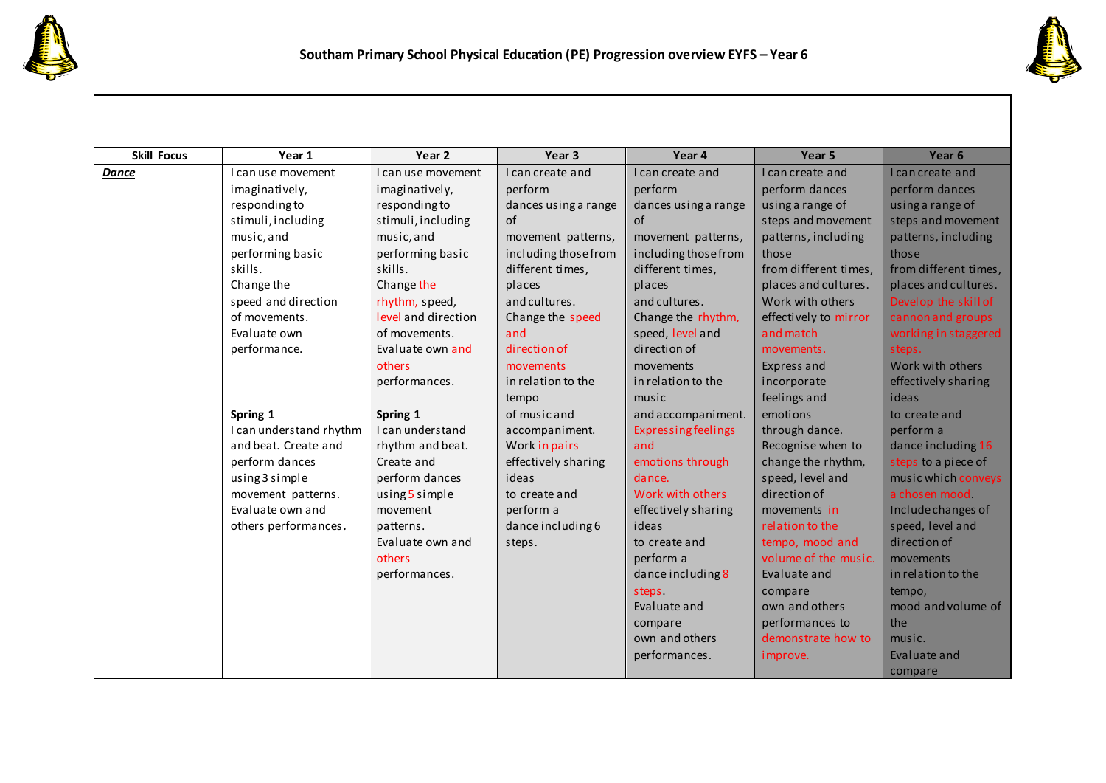



| <b>Skill Focus</b> | Year 1                  | Year <sub>2</sub>   | Year 3               | Year 4                     | Year 5                | Year 6                |
|--------------------|-------------------------|---------------------|----------------------|----------------------------|-----------------------|-----------------------|
| <b>Dance</b>       | I can use movement      | I can use movement  | I can create and     | I can create and           | I can create and      | I can create and      |
|                    | imaginatively,          | imaginatively,      | perform              | perform                    | perform dances        | perform dances        |
|                    | responding to           | responding to       | dances using a range | dances using a range       | using a range of      | using a range of      |
|                    | stimuli, including      | stimuli, including  | of                   | of                         | steps and movement    | steps and movement    |
|                    | music, and              | music, and          | movement patterns,   | movement patterns,         | patterns, including   | patterns, including   |
|                    | performing basic        | performing basic    | including those from | including those from       | those                 | those                 |
|                    | skills.                 | skills.             | different times,     | different times,           | from different times, | from different times, |
|                    | Change the              | Change the          | places               | places                     | places and cultures.  | places and cultures.  |
|                    | speed and direction     | rhythm, speed,      | and cultures.        | and cultures.              | Work with others      | Develop the skill of  |
|                    | of movements.           | level and direction | Change the speed     | Change the rhythm,         | effectively to mirror | cannon and groups     |
|                    | Evaluate own            | of movements.       | and                  | speed, level and           | and match             | working in staggered  |
|                    | performance.            | Evaluate own and    | direction of         | direction of               | movements.            | steps.                |
|                    |                         | others              | movements            | movements                  | Express and           | Work with others      |
|                    |                         | performances.       | in relation to the   | in relation to the         | incorporate           | effectively sharing   |
|                    |                         |                     | tempo                | music                      | feelings and          | ideas                 |
|                    | Spring 1                | Spring 1            | of music and         | and accompaniment.         | emotions              | to create and         |
|                    | I can understand rhythm | I can understand    | accompaniment.       | <b>Expressing feelings</b> | through dance.        | perform a             |
|                    | and beat. Create and    | rhythm and beat.    | Work in pairs        | and                        | Recognise when to     | dance including 16    |
|                    | perform dances          | Create and          | effectively sharing  | emotions through           | change the rhythm,    | steps to a piece of   |
|                    | using 3 simple          | perform dances      | ideas                | dance.                     | speed, level and      | music which conveys   |
|                    | movement patterns.      | using $5$ simple    | to create and        | Work with others           | direction of          | a chosen mood.        |
|                    | Evaluate own and        | movement            | perform a            | effectively sharing        | movements in          | Include changes of    |
|                    | others performances.    | patterns.           | dance including 6    | ideas                      | relation to the       | speed, level and      |
|                    |                         | Evaluate own and    | steps.               | to create and              | tempo, mood and       | direction of          |
|                    |                         | others              |                      | perform a                  | volume of the music.  | movements             |
|                    |                         | performances.       |                      | dance including 8          | Evaluate and          | in relation to the    |
|                    |                         |                     |                      | steps                      | compare               | tempo,                |
|                    |                         |                     |                      | Evaluate and               | own and others        | mood and volume of    |
|                    |                         |                     |                      | compare                    | performances to       | the                   |
|                    |                         |                     |                      | own and others             | demonstrate how to    | music.                |
|                    |                         |                     |                      | performances.              | improve.              | Evaluate and          |
|                    |                         |                     |                      |                            |                       | compare               |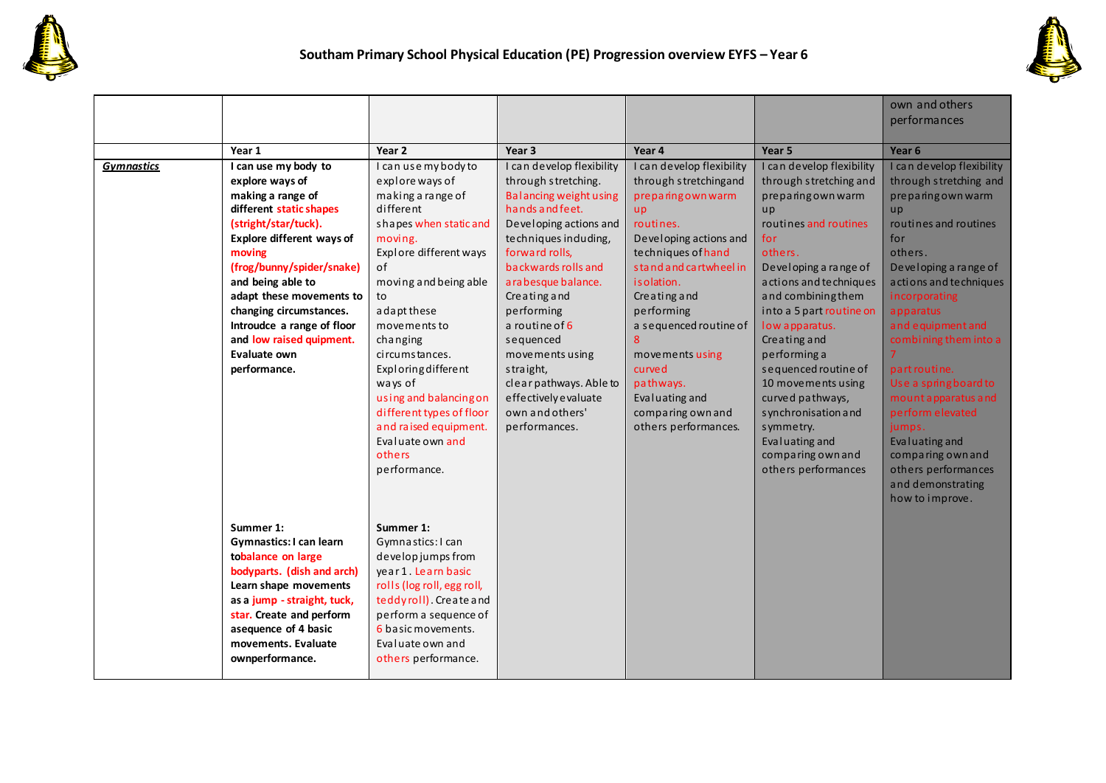



|                   |                                  |                            |                           |                           |                           | own and others            |
|-------------------|----------------------------------|----------------------------|---------------------------|---------------------------|---------------------------|---------------------------|
|                   |                                  |                            |                           |                           |                           | performances              |
|                   |                                  |                            |                           |                           |                           |                           |
|                   | Year 1                           | Year <sub>2</sub>          | Year <sub>3</sub>         | Year 4                    | Year <sub>5</sub>         | Year <sub>6</sub>         |
| <b>Gymnastics</b> | I can use my body to             | I can use my body to       | I can develop flexibility | I can develop flexibility | I can develop flexibility | I can develop flexibility |
|                   | explore ways of                  | explore ways of            | through stretching.       | through stretchingand     | through stretching and    | through stretching and    |
|                   | making a range of                | making a range of          | Balancing weight using    | preparing own warm        | preparing own warm        | preparingown warm         |
|                   | different static shapes          | different                  | hands and feet.           | <b>up</b>                 | up                        | up                        |
|                   | (stright/star/tuck).             | shapes when static and     | Developing actions and    | routines.                 | routines and routines     | routines and routines     |
|                   | <b>Explore different ways of</b> | moving.                    | techniques induding,      | Developing actions and    | for                       | for                       |
|                   | moving                           | Explore different ways     | forward rolls,            | techniques of hand        | others.                   | others.                   |
|                   | (frog/bunny/spider/snake)        | of                         | backwards rolls and       | stand and cartwheel in    | Developing a range of     | Developing a range of     |
|                   | and being able to                | moving and being able      | arabesque balance.        | is olation.               | actions and techniques    | actions and techniques    |
|                   | adapt these movements to         | to                         | Creating and              | Creating and              | and combining them        | incorporating             |
|                   | changing circumstances.          | adapt these                | performing                | performing                | into a 5 part routine on  | apparatus                 |
|                   | Introudce a range of floor       | movements to               | a routine of 6            | a sequenced routine of    | low apparatus.            | and equipment and         |
|                   | and low raised quipment.         | changing                   | sequenced                 | 8                         | Creating and              | combining them into a     |
|                   | Evaluate own                     | circumstances.             | movements using           | movements using           | performing a              |                           |
|                   | performance.                     | Exploring different        | straight,                 | curved                    | sequenced routine of      | part routine.             |
|                   |                                  | ways of                    | clear pathways. Able to   | pathways.                 | 10 movements using        | Use a spring board to     |
|                   |                                  | using and balancing on     | effectively evaluate      | Evaluating and            | curved pathways,          | mount apparatus and       |
|                   |                                  | different types of floor   | own and others'           | comparing own and         | synchronisation and       | perform elevated          |
|                   |                                  | and raised equipment.      | performances.             | others performances.      | symmetry.                 | jumps.                    |
|                   |                                  | Evaluate own and           |                           |                           | Evaluating and            | Evaluating and            |
|                   |                                  | others                     |                           |                           | comparing own and         | comparing own and         |
|                   |                                  | performance.               |                           |                           | others performances       | others performances       |
|                   |                                  |                            |                           |                           |                           | and demonstrating         |
|                   |                                  |                            |                           |                           |                           | how to improve.           |
|                   |                                  |                            |                           |                           |                           |                           |
|                   | Summer 1:                        | Summer 1:                  |                           |                           |                           |                           |
|                   | Gymnastics: I can learn          | Gymnastics: I can          |                           |                           |                           |                           |
|                   | tobalance on large               | develop jumps from         |                           |                           |                           |                           |
|                   | bodyparts. (dish and arch)       | year 1. Learn basic        |                           |                           |                           |                           |
|                   | Learn shape movements            | rolls (log roll, egg roll, |                           |                           |                           |                           |
|                   | as a jump - straight, tuck,      | teddyroll). Create and     |                           |                           |                           |                           |
|                   | star. Create and perform         | perform a sequence of      |                           |                           |                           |                           |
|                   | asequence of 4 basic             | 6 basic movements.         |                           |                           |                           |                           |
|                   | movements. Evaluate              | Evaluate own and           |                           |                           |                           |                           |
|                   | ownperformance.                  | others performance.        |                           |                           |                           |                           |
|                   |                                  |                            |                           |                           |                           |                           |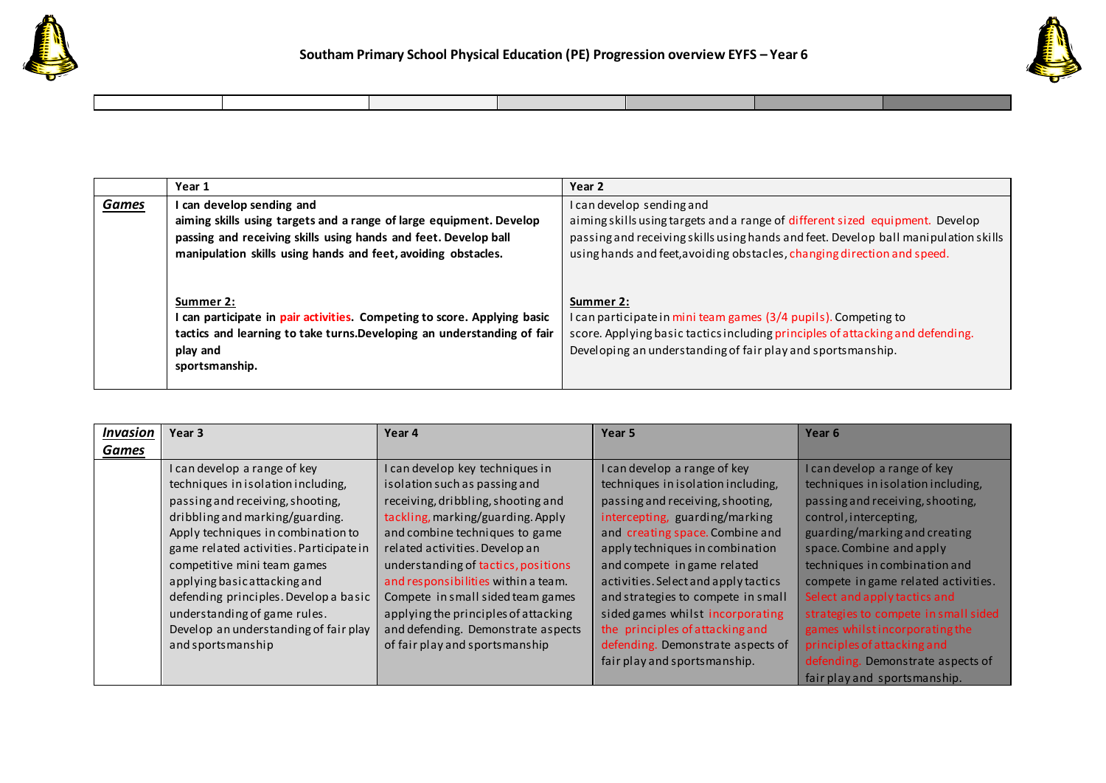



|              | Year 1                                                                                                                                                                                         | Year <sub>2</sub>                                                                                                                                                                                                             |
|--------------|------------------------------------------------------------------------------------------------------------------------------------------------------------------------------------------------|-------------------------------------------------------------------------------------------------------------------------------------------------------------------------------------------------------------------------------|
| <b>Games</b> | I can develop sending and                                                                                                                                                                      | I can develop sending and                                                                                                                                                                                                     |
|              | aiming skills using targets and a range of large equipment. Develop                                                                                                                            | aiming skills using targets and a range of different sized equipment. Develop                                                                                                                                                 |
|              | passing and receiving skills using hands and feet. Develop ball                                                                                                                                | passing and receiving skills using hands and feet. Develop ball manipulation skills                                                                                                                                           |
|              | manipulation skills using hands and feet, avoiding obstacles.                                                                                                                                  | using hands and feet, avoiding obstacles, changing direction and speed.                                                                                                                                                       |
|              | Summer 2:<br>I can participate in pair activities. Competing to score. Applying basic<br>tactics and learning to take turns. Developing an understanding of fair<br>play and<br>sportsmanship. | Summer 2:<br>I can participate in mini team games (3/4 pupils). Competing to<br>score. Applying basic tactics including principles of attacking and defending.<br>Developing an understanding of fair play and sportsmanship. |

| <b>Invasion</b> | Year 3                                                                                                                                                                                                                                                                                                                                                                                                                           | Year 4                                                                                                                                                                                                                                                                                                                                                                                                                                             | Year 5                                                                                                                                                                                                                                                                                                                                                                                                                                                                  | Year 6                                                                                                                                                                                                                                                                                                                                                                                                                                             |
|-----------------|----------------------------------------------------------------------------------------------------------------------------------------------------------------------------------------------------------------------------------------------------------------------------------------------------------------------------------------------------------------------------------------------------------------------------------|----------------------------------------------------------------------------------------------------------------------------------------------------------------------------------------------------------------------------------------------------------------------------------------------------------------------------------------------------------------------------------------------------------------------------------------------------|-------------------------------------------------------------------------------------------------------------------------------------------------------------------------------------------------------------------------------------------------------------------------------------------------------------------------------------------------------------------------------------------------------------------------------------------------------------------------|----------------------------------------------------------------------------------------------------------------------------------------------------------------------------------------------------------------------------------------------------------------------------------------------------------------------------------------------------------------------------------------------------------------------------------------------------|
| Games           |                                                                                                                                                                                                                                                                                                                                                                                                                                  |                                                                                                                                                                                                                                                                                                                                                                                                                                                    |                                                                                                                                                                                                                                                                                                                                                                                                                                                                         |                                                                                                                                                                                                                                                                                                                                                                                                                                                    |
|                 | I can develop a range of key<br>techniques in isolation including,<br>passing and receiving, shooting,<br>dribbling and marking/guarding.<br>Apply techniques in combination to<br>game related activities. Participate in<br>competitive mini team games<br>applying basic attacking and<br>defending principles. Develop a basic<br>understanding of game rules.<br>Develop an understanding of fair play<br>and sportsmanship | I can develop key techniques in<br>isolation such as passing and<br>receiving, dribbling, shooting and<br>tackling, marking/guarding. Apply<br>and combine techniques to game<br>related activities. Develop an<br>understanding of tactics, positions<br>and responsibilities within a team.<br>Compete in small sided team games<br>applying the principles of attacking<br>and defending. Demonstrate aspects<br>of fair play and sportsmanship | I can develop a range of key<br>techniques in isolation including,<br>passing and receiving, shooting,<br>intercepting, guarding/marking<br>and creating space. Combine and<br>apply techniques in combination<br>and compete in game related<br>activities. Select and apply tactics<br>and strategies to compete in small<br>sided games whilst incorporating<br>the principles of attacking and<br>defending. Demonstrate aspects of<br>fair play and sportsmanship. | I can develop a range of key<br>techniques in isolation including,<br>passing and receiving, shooting,<br>control, intercepting,<br>guarding/marking and creating<br>space. Combine and apply<br>techniques in combination and<br>compete in game related activities.<br>Select and apply tactics and<br>strategies to compete in small sided<br>games whilstincorporating the<br>principles of attacking and<br>defending. Demonstrate aspects of |
|                 |                                                                                                                                                                                                                                                                                                                                                                                                                                  |                                                                                                                                                                                                                                                                                                                                                                                                                                                    |                                                                                                                                                                                                                                                                                                                                                                                                                                                                         | fair play and sportsmanship.                                                                                                                                                                                                                                                                                                                                                                                                                       |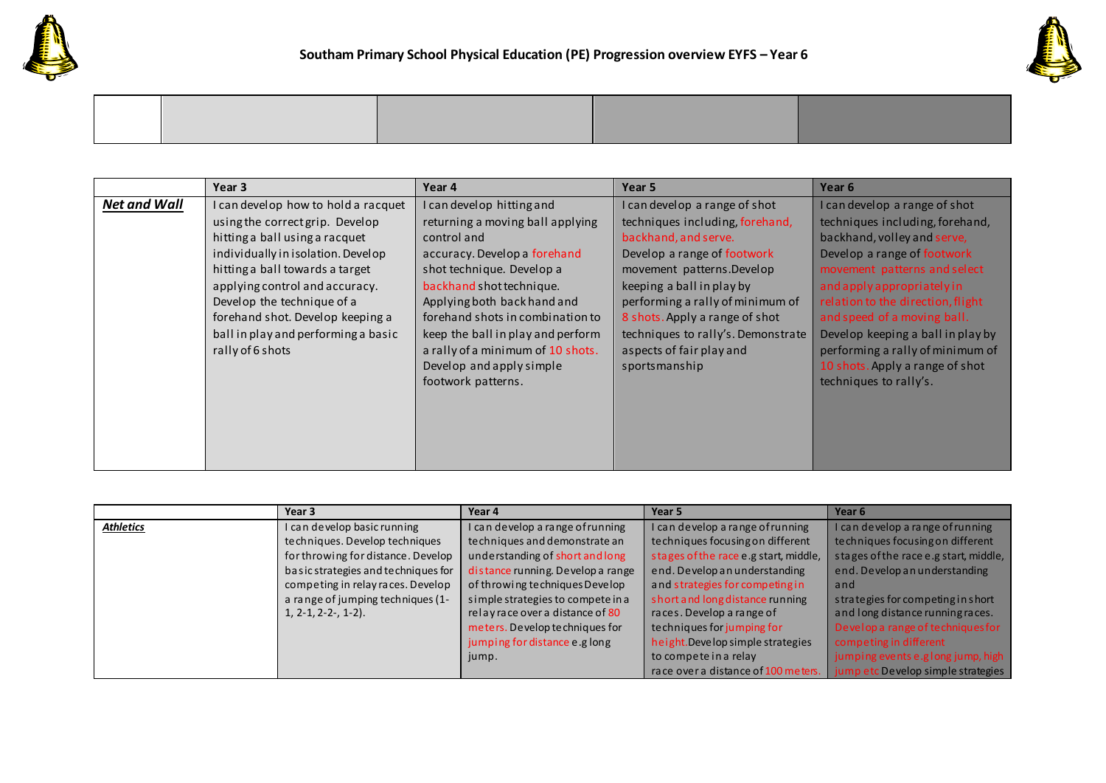



|                     | Year 3                              | Year 4                            | Year 5                             | Year 6                            |
|---------------------|-------------------------------------|-----------------------------------|------------------------------------|-----------------------------------|
| <b>Net and Wall</b> | I can develop how to hold a racquet | I can develop hitting and         | I can develop a range of shot      | I can develop a range of shot     |
|                     | using the correct grip. Develop     | returning a moving ball applying  | techniques including, forehand,    | techniques including, forehand,   |
|                     | hitting a ball using a racquet      | control and                       | backhand, and serve.               | backhand, volley and serve,       |
|                     | individually in isolation. Develop  | accuracy. Develop a forehand      | Develop a range of footwork        | Develop a range of footwork       |
|                     | hitting a ball towards a target     | shot technique. Develop a         | movement patterns. Develop         | movement patterns and select      |
|                     | applying control and accuracy.      | backhand shot technique.          | keeping a ball in play by          | and apply appropriately in        |
|                     | Develop the technique of a          | Applying both back hand and       | performing a rally of minimum of   | relation to the direction, flight |
|                     | forehand shot. Develop keeping a    | forehand shots in combination to  | 8 shots. Apply a range of shot     | and speed of a moving ball.       |
|                     | ball in play and performing a basic | keep the ball in play and perform | techniques to rally's. Demonstrate | Develop keeping a ball in play by |
|                     | rally of 6 shots                    | a rally of a minimum of 10 shots. | aspects of fair play and           | performing a rally of minimum of  |
|                     |                                     | Develop and apply simple          | sportsmanship                      | 10 shots. Apply a range of shot   |
|                     |                                     | footwork patterns.                |                                    | techniques to rally's.            |
|                     |                                     |                                   |                                    |                                   |
|                     |                                     |                                   |                                    |                                   |
|                     |                                     |                                   |                                    |                                   |
|                     |                                     |                                   |                                    |                                   |
|                     |                                     |                                   |                                    |                                   |

|                  | Year 3                              | Year 4                            | Year 5                                | Year 6                                |
|------------------|-------------------------------------|-----------------------------------|---------------------------------------|---------------------------------------|
| <b>Athletics</b> | I can develop basic running         | can develop a range of running    | I can develop a range of running      | I can develop a range of running      |
|                  | techniques. Develop techniques      | techniques and demonstrate an     | techniques focusing on different      | techniques focusing on different      |
|                  | for throwing for distance. Develop  | understanding of short and long   | stages of the race e.g start, middle, | stages of the race e.g start, middle, |
|                  | basic strategies and techniques for | distance running. Develop a range | end. Develop an understanding         | end. Develop an understanding         |
|                  | competing in relay races. Develop   | of throwing techniques Develop    | and strategies for competing in       | and                                   |
|                  | a range of jumping techniques (1-   | simple strategies to compete in a | short and long distance running       | strategies for competing in short     |
|                  | $1, 2-1, 2-2-$ , 1-2).              | relay race over a distance of 80  | races. Develop a range of             | and long distance running races.      |
|                  |                                     | meters. Develop techniques for    | techniques for jumping for            | Develop a range of techniques for     |
|                  |                                     | jumping for distance e.g long     | height. Develop simple strategies     | competing in different                |
|                  |                                     | jump.                             | to compete in a relay                 | jumping events e.glong jump, high     |
|                  |                                     |                                   | race over a distance of 100 meters.   | jump etc Develop simple strategies    |